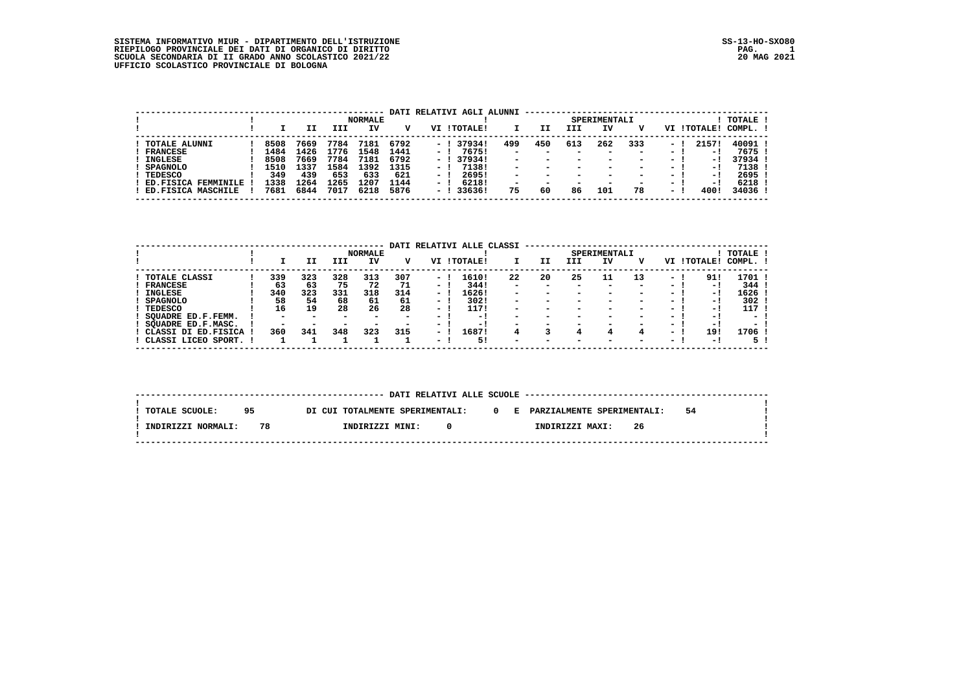SISTEMA INFORMATIVO MIUR – DIPARTIMENTO DELL'ISTRUZIONE<br>RIEPILOGO PROVINCIALE DEI DATI DI ORGANICO DI DIRITTO<br>SCUOLA SECONDARIA DI II GRADO ANNO SCOLASTICO 2021/22<br>UFFICIO SCOLASTICO PROVINCIALE DI BOLOGNA

|                               |      |      |      | <b>NORMALE</b> |      |      | DATI RELATIVI AGLI ALUNNI |                          |     |                          | SPERIMENTALI             |                          |        |           | TOTALE  |
|-------------------------------|------|------|------|----------------|------|------|---------------------------|--------------------------|-----|--------------------------|--------------------------|--------------------------|--------|-----------|---------|
|                               |      |      | III  | IV             | v    |      | VI !TOTALE!               |                          | II  | III                      | IV                       |                          | VI     | ! TOTALE! | COMPL.  |
| <b>TOTALE ALUNNI</b>          | 8508 | 7669 | 7784 | 7181           | 6792 | $-1$ | 379341                    | 499                      | 450 | 613                      | 262                      | 333                      | - 1    | 2157!     | 40091   |
| <b>FRANCESE</b>               | 1484 | 1426 | 1776 | 1548           | 1441 | $-1$ | 76751                     | $\overline{\phantom{0}}$ | -   | $\sim$                   | $\overline{\phantom{a}}$ | $\overline{\phantom{0}}$ | $ -$   | $-1$      | 7675 1  |
| <b>INGLESE</b>                | 8508 | 7669 | 7784 | 7181           | 6792 | $-1$ | 379341                    | $\overline{\phantom{0}}$ | -   | $\overline{\phantom{a}}$ | -                        | $\blacksquare$           | $ -$   | - 11      | 37934   |
| <b>SPAGNOLO</b>               | 1510 | 1337 | 1584 | 1392           | 1315 | $-1$ | 71381                     | $\overline{\phantom{0}}$ | -   | $\sim$                   | -                        | $\overline{\phantom{0}}$ | $ -$   | $-1$      | 7138    |
| <b>TEDESCO</b>                | 349  | 439  | 653  | 633            | 621  | $-1$ | 26951                     | $\overline{\phantom{a}}$ | -   | $\sim$                   | $\overline{\phantom{a}}$ | $\overline{\phantom{0}}$ | $ -$   | $-1$      | 2695    |
| ED.FISICA<br><b>FEMMINILE</b> | 1338 | 1264 | 1265 | 1207           | 1144 | $-1$ | 62181                     | $\overline{\phantom{0}}$ | -   | $\overline{\phantom{a}}$ |                          | $\overline{\phantom{0}}$ | $\sim$ | $-1$      | 6218    |
| ED.FISICA MASCHILE            | 7681 | 6844 | 7017 | 6218           | 5876 | $-1$ | 33636!                    | 75                       | 60  | 86                       | 101                      | 78                       | $ -$   | 400!      | 34036 ! |

|                      |     |                          |     | <b>NORMALE</b>           | DATI |                          | RELATIVI ALLE CLASSI |                          |                          |                          | SPERIMENTALI             |                          |        |           | TOTALE !                 |
|----------------------|-----|--------------------------|-----|--------------------------|------|--------------------------|----------------------|--------------------------|--------------------------|--------------------------|--------------------------|--------------------------|--------|-----------|--------------------------|
|                      |     | ΙI                       | III | IV                       | v    | VI                       | ! TOTALE!            |                          | IJ                       | III                      | ΙV                       | v                        | VI     | ! TOTALE! | COMPL.                   |
| <b>TOTALE CLASSI</b> | 339 | 323                      | 328 | 313                      | 307  | $\sim$                   | 1610!                | 22                       | 20                       | 25                       | 11                       | 13                       | $-1$   | 91!       | 1701 !                   |
| <b>FRANCESE</b>      | 63  | 63                       | 75  | 72                       | 71   | $\sim$                   | 344!                 | $\overline{\phantom{0}}$ | $\overline{\phantom{a}}$ | $\overline{\phantom{a}}$ | $\overline{\phantom{a}}$ | $\overline{\phantom{a}}$ | - 1    | - 1       | 344                      |
| INGLESE              | 340 | 323                      | 331 | 318                      | 314  | $\sim$                   | 1626!                | $\overline{\phantom{0}}$ |                          | $\overline{\phantom{0}}$ |                          | $\overline{\phantom{a}}$ | $ -$   | - !       | 1626                     |
| <b>SPAGNOLO</b>      | 58  | 54                       | 68  | 61                       | 61   | $\sim$                   | 302!                 | -                        | -                        | $\overline{\phantom{a}}$ |                          | $\overline{\phantom{a}}$ | - 1    | - !       | 302                      |
| <b>TEDESCO</b>       | 16  | 19                       | 28  | 26                       | 28   | $\overline{\phantom{0}}$ | 117!                 | -                        | $\overline{\phantom{a}}$ | $\overline{\phantom{a}}$ |                          | $\overline{\phantom{a}}$ | - 1    | - 1       | 117                      |
| SOUADRE ED.F.FEMM.   | -   | $\overline{\phantom{0}}$ | -   | $\overline{\phantom{0}}$ | -    | $\overline{\phantom{a}}$ | - 1                  | $\overline{\phantom{0}}$ | $\overline{\phantom{a}}$ | $\overline{\phantom{a}}$ |                          | $\overline{\phantom{0}}$ | - 1    | - !       | -                        |
| SOUADRE ED.F.MASC.   | -   | -                        | -   | $\overline{\phantom{a}}$ |      | $\sim$                   | - !                  | -                        |                          |                          |                          | -                        | $\sim$ | - 1       | $\overline{\phantom{0}}$ |
| CLASSI DI ED.FISICA  | 360 | 341                      | 348 | 323                      | 315  | $\overline{\phantom{0}}$ | L687!                | 4                        |                          |                          |                          | 4                        | $-1$   | 19!       | 1706 !                   |
| CLASSI LICEO SPORT.  |     |                          |     |                          |      | $\overline{\phantom{0}}$ | 5!                   | $\overline{\phantom{0}}$ | $\overline{\phantom{a}}$ | $\overline{\phantom{a}}$ | $\overline{\phantom{a}}$ | $\overline{\phantom{a}}$ | $\sim$ | - !       | 5.                       |

| TOTALE SCUOLE:     | 95 |    | DI CUI TOTALMENTE SPERIMENTALI: |    |  | 0 E PARZIALMENTE SPERIMENTALI: |    | 54 |  |
|--------------------|----|----|---------------------------------|----|--|--------------------------------|----|----|--|
| INDIRIZZI NORMALI: |    | 78 | INDIRIZZI MINI:                 | n. |  | INDIRIZZI MAXI:                | 26 |    |  |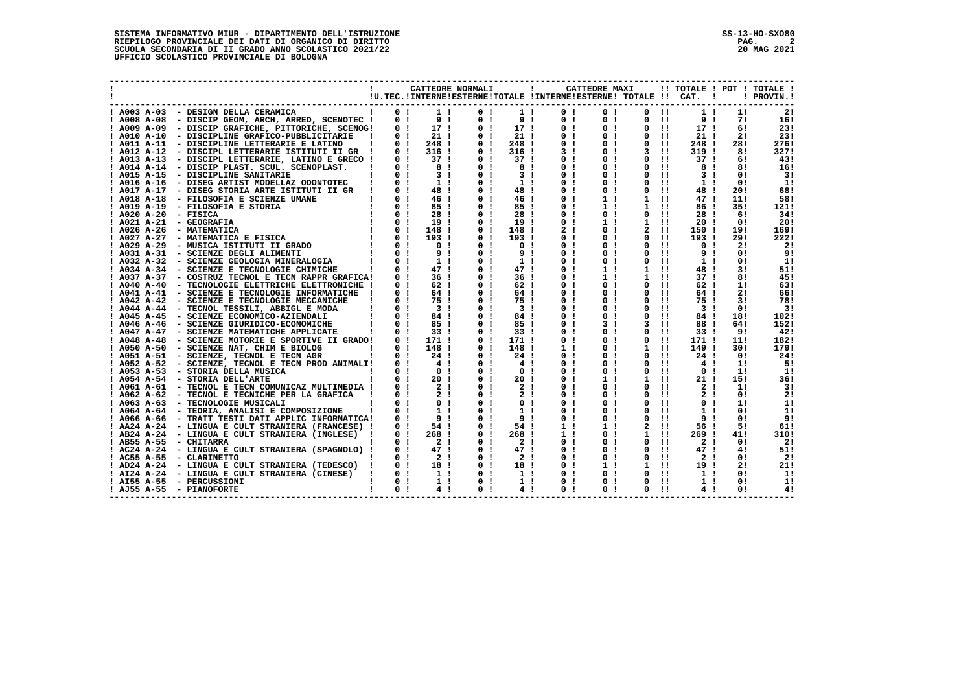|               |                                                                                                                                                                                                                                              |                                                                   |                                                        | CATTEDRE NORMALI |                                  | $\blacksquare$                   | !U.TEC.!INTERNE!ESTERNE!TOTALE !INTERNE!ESTERNE! TOTALE !! CAT. ! | CATTEDRE MAXI                    |                            |                                  |                                  |                      | !! TOTALE ! POT ! TOTALE !<br>! PROVIN.! |
|---------------|----------------------------------------------------------------------------------------------------------------------------------------------------------------------------------------------------------------------------------------------|-------------------------------------------------------------------|--------------------------------------------------------|------------------|----------------------------------|----------------------------------|-------------------------------------------------------------------|----------------------------------|----------------------------|----------------------------------|----------------------------------|----------------------|------------------------------------------|
|               | ! A003 A-03 - DESIGN DELLA CERAMICA                                                                                                                                                                                                          | $\begin{array}{ccc} & 1 & 0 & 1 \end{array}$                      |                                                        | 1 <sub>1</sub>   | 0 <sub>1</sub>                   | 1!                               | 0 <sub>1</sub>                                                    | 0 <sub>1</sub>                   | $0$ $11$                   |                                  | $1 \cdot 1$                      | 1!                   | 21                                       |
| $!$ A008 A-08 | - DISCIP GEOM, ARCH, ARRED, SCENOTEC !                                                                                                                                                                                                       | 0 <sub>1</sub>                                                    |                                                        | 9 <sub>1</sub>   | 0 <sub>1</sub>                   | 9 <sub>1</sub>                   | 0 <sub>1</sub>                                                    | 0 <sub>1</sub>                   | $\Omega$                   | $\blacksquare$                   | 91                               | 71                   | 16!                                      |
|               | ! A009 A-09 - DISCIP GRAFICHE, PITTORICHE, SCENOG!                                                                                                                                                                                           |                                                                   | $0!$ 17!                                               |                  | 0 <sub>1</sub>                   | 17 !                             | 0 <sub>1</sub>                                                    | 0 <sub>1</sub>                   | $^{\circ}$                 | $\blacksquare$                   | 17 <sub>1</sub>                  | 6!                   | 23!                                      |
|               | ! A010 A-10 - DISCIPLINE GRAFICO-PUBBLICITARIE                                                                                                                                                                                               | 0 <sub>1</sub>                                                    | 21!                                                    |                  | 0 <sub>1</sub>                   | $21$ !                           | 0 <sub>1</sub>                                                    | 0 <sub>1</sub>                   | $\Omega$                   | $\blacksquare$                   | 21!                              | 21                   | 23!                                      |
| ! A011 A-11   | - DISCIPLINE LETTERARIE E LATINO                                                                                                                                                                                                             | 0 <sub>1</sub>                                                    | 248!                                                   |                  | 0 <sub>1</sub>                   | 248 !                            | 0 <sub>1</sub>                                                    | 0 <sub>1</sub>                   | $^{\circ}$                 | $\blacksquare$                   | 248 !                            | 28!                  | 276!                                     |
|               | ! A012 A-12 - DISCIPL LETTERARIE ISTITUTI II GR !                                                                                                                                                                                            | 0 <sub>1</sub>                                                    | 316 !                                                  |                  | 0 <sub>1</sub>                   | 316 !                            | 3 <sub>1</sub>                                                    | 0 <sub>1</sub>                   |                            | $3 \quad 11$                     | 319 !                            | 81                   | 327!                                     |
|               | ! A013 A-13 - DISCIPL LETTERARIE, LATINO E GRECO !                                                                                                                                                                                           |                                                                   | 37!                                                    |                  | 0 <sub>1</sub>                   | 37 <sub>1</sub>                  | 0 <sub>1</sub>                                                    | 0 <sub>1</sub>                   | $\Omega$                   | $\pm 1$                          | 37 <sub>1</sub>                  | 6!                   | 43!                                      |
|               | ! A014 A-14 - DISCIP PLAST. SCUL. SCENOPLAST.                                                                                                                                                                                                | $\begin{matrix} 1 & 0 & 1 \\ 1 & 0 & 1 \\ 1 & 0 & 1 \end{matrix}$ | $\begin{array}{c} 8 \\ 3 \end{array}$                  |                  | 0 <sub>1</sub>                   | 8!                               | 0 <sub>1</sub>                                                    | 0 <sub>1</sub>                   | 0                          | -11                              | 8!                               | 81                   | 16!                                      |
|               | ! A015 A-15 - DISCIPLINE SANITARIE                                                                                                                                                                                                           |                                                                   |                                                        |                  | 0 <sub>1</sub>                   | 3 <sub>1</sub>                   | 0 <sub>1</sub>                                                    | 0 <sub>1</sub>                   | $\Omega$                   | $\pm 1$                          | 3 <sub>1</sub>                   | 0!                   | 3!                                       |
|               | - DISEG ARTIST MODELLAZ ODONTOTEC ! 0 !<br>- DISEG ARTIST MODELLAZ ODONTOTEC ! 0 !<br>! A016 A-16 - DISEG ARTIST MODELLAZ ODONTOTEC                                                                                                          |                                                                   | $\frac{1}{1}$                                          |                  | 0 <sub>1</sub>                   | 1 <sub>1</sub>                   | 0 <sub>1</sub>                                                    | 0 <sub>1</sub>                   | 0                          | $\mathbf{H}$                     | 1 <sub>1</sub>                   | 0!                   | 1!                                       |
| ! A017 A-17   |                                                                                                                                                                                                                                              |                                                                   | 48!                                                    |                  | 0 <sub>1</sub>                   | 48!                              | 0 <sub>1</sub>                                                    | 0 <sub>1</sub>                   | 0                          | $\pm 1$                          | 48!                              | 20!                  | 68!                                      |
|               |                                                                                                                                                                                                                                              |                                                                   |                                                        |                  | 0 <sub>1</sub>                   | 46 !                             | 0 <sub>1</sub>                                                    | 1 <sub>1</sub>                   | $\mathbf{1}$               | $\blacksquare$                   | 47 <sub>1</sub>                  | 11!                  | 58!                                      |
|               |                                                                                                                                                                                                                                              |                                                                   |                                                        |                  | 0 <sub>1</sub><br>0 <sub>1</sub> | $85$ !<br>28 I                   | 0 <sub>1</sub><br>0 <sub>1</sub>                                  | 1 <sub>1</sub><br>0 <sub>1</sub> | $1 \quad 11$<br>$^{\circ}$ | $\mathbf{H}$                     | 86!<br>28 1                      | 35!<br>61            | 121!                                     |
|               |                                                                                                                                                                                                                                              |                                                                   |                                                        |                  | 0 <sub>1</sub>                   | 19!                              | 0 <sub>1</sub>                                                    | 1 <sub>1</sub>                   | $\mathbf{1}$               | $\blacksquare$                   | 20 !                             | 0!                   | 34!<br>20!                               |
|               |                                                                                                                                                                                                                                              |                                                                   |                                                        |                  | 0 <sub>1</sub>                   | 148 !                            | 2 <sub>1</sub>                                                    | 0 <sub>1</sub>                   |                            | $2 \quad 11$                     | 150 !                            | 19!                  | 169!                                     |
|               |                                                                                                                                                                                                                                              |                                                                   |                                                        |                  | 0 <sub>1</sub>                   | 193!                             | 0 <sub>1</sub>                                                    | 0 <sub>1</sub>                   | $\Omega$                   | $\mathbf{H}$                     | 193!                             | 29!                  | 222!                                     |
|               | 1 A017 A-17 - DISEG STORIA ARTE ISTITUTI II GR<br>1 A018 A-18 - FILOSOFIA E SCIENZE UMANE<br>1 A019 A-19 - FILOSOFIA E STORIA<br>1 0 1 46 :<br>1 A020 A-21 - GEOGRAFIA<br>1 A026 A-26 - MATEMATICA<br>1 A026 A-26 - MATEMATICA<br>1 A026 A-2 |                                                                   |                                                        |                  | 0 <sub>1</sub>                   | 0 <sub>1</sub>                   | 0 <sub>1</sub>                                                    | 0 <sub>1</sub>                   | 0                          | $\blacksquare$                   | 0 <sub>1</sub>                   | 21                   | 2!                                       |
|               |                                                                                                                                                                                                                                              |                                                                   |                                                        |                  | 0 <sub>1</sub>                   | 9!                               | 0 <sub>1</sub>                                                    | 0 <sub>1</sub>                   | 0                          | $\pm 1$                          | 9!                               | 0!                   | 9!                                       |
|               |                                                                                                                                                                                                                                              |                                                                   |                                                        |                  | 0 <sub>1</sub>                   | 1 <sub>1</sub>                   | $\Omega$<br>- 1                                                   | 0 <sub>1</sub>                   | 0                          | -11                              | 1 <sub>1</sub>                   | 0!                   | 11                                       |
|               |                                                                                                                                                                                                                                              |                                                                   |                                                        |                  | 0 <sub>1</sub>                   | 47!                              | 0 <sub>1</sub>                                                    | 1 <sub>1</sub>                   | $\mathbf{1}$               | $\overline{11}$                  | 48!                              | 31                   | 51!                                      |
|               | ! A037 A-37 - COSTRUZ TECNOL E TECN RAPPR GRAFICA!                                                                                                                                                                                           | $\overline{0}$ 1                                                  | 36 I                                                   |                  | 0 <sub>1</sub>                   | 36 <sub>1</sub>                  | 0 <sub>1</sub>                                                    | 1 <sub>1</sub>                   | $\mathbf{1}$               | - 11                             | 37 I                             | 81                   | 451                                      |
|               | ! A040 A-40 - TECNOLOGIE ELETTRICHE ELETTRONICHE !                                                                                                                                                                                           | 0 <sub>1</sub>                                                    | 62 !                                                   |                  | 0 <sub>1</sub>                   | 62!                              | 0 <sub>1</sub>                                                    | 0 <sub>1</sub>                   | $\Omega$                   | $\blacksquare$                   | 62 !                             | 11                   | 63!                                      |
|               | ! A041 A-41 - SCIENZE E TECNOLOGIE INFORMATICHE !                                                                                                                                                                                            | 0 <sub>1</sub>                                                    | 64 !                                                   |                  | 0 <sub>1</sub>                   | 64 !                             | 0 <sub>1</sub>                                                    | 0 <sub>1</sub>                   | 0                          | $\pm 1$                          | 64 !                             | 2!                   | 66!                                      |
|               | ! A042 A-42 - SCIENZE E TECNOLOGIE MECCANICHE                                                                                                                                                                                                | 0 <sub>1</sub>                                                    | 75!                                                    |                  | 0 <sub>1</sub>                   | 75 !                             | 0 <sub>1</sub>                                                    | 0 <sub>1</sub>                   | 0                          | $\mathbf{1}$                     | 75 1                             | 31                   | 78!                                      |
|               | ! A044 A-44 - TECNOL TESSILI, ABBIGL E MODA                                                                                                                                                                                                  | 0 <sub>1</sub>                                                    | $\overline{\phantom{a}3\phantom{a}}$                   |                  | 0 <sub>1</sub>                   | 3 <sub>1</sub>                   | 0 <sub>1</sub>                                                    | 0 <sub>1</sub>                   | $\Omega$                   | $\pm 1$                          | 3 <sub>1</sub>                   | 0!                   | 31                                       |
|               | ! A045 A-45 - SCIENZE ECONOMICO-AZIENDALI                                                                                                                                                                                                    | 0 <sub>1</sub>                                                    | 84!                                                    |                  | 0 <sub>1</sub>                   | 84!                              | 0 <sub>1</sub>                                                    | 0 <sub>1</sub>                   | $\Omega$                   | $\mathbf{H}$                     | 84!                              | 18!                  | 102!                                     |
|               | ! A046 A-46 - SCIENZE GIURIDICO-ECONOMICHE                                                                                                                                                                                                   | 0 <sub>1</sub>                                                    | 85 I                                                   |                  | 0 <sub>1</sub>                   | 85 !                             | 0 <sub>1</sub>                                                    | 3 <sub>1</sub>                   | 3                          | $\mathbf{H}$                     | 88 !                             | 64!                  | 152!                                     |
| ! A047 A-47   | - SCIENZE MATEMATICHE APPLICATE                                                                                                                                                                                                              | $\begin{array}{ccc} 1 & 0 & 1 \end{array}$                        | 33 I                                                   |                  | 0 <sub>1</sub>                   | 33 !                             | 0 <sub>1</sub>                                                    | 0 <sub>1</sub>                   | $^{\circ}$                 | $\pm 1$                          | 33 I                             | 91                   | 42!                                      |
|               | $:$ A048 A-48 - SCIENZE MOTORIE E SPORTIVE II GRADO! 0 !<br>$:$ A050 A-50 - SCIENZE NAT, CHIM E BIOLOG ! 0 !                                                                                                                                 |                                                                   | 171 !                                                  |                  | 0 <sub>1</sub>                   | 171 !                            | 0 <sub>1</sub>                                                    | 0 <sub>1</sub>                   | 0                          | $\pm 1$                          | 171 !                            | 11!                  | 182!                                     |
|               |                                                                                                                                                                                                                                              |                                                                   | 148!                                                   |                  | 0 <sub>1</sub>                   | 148 !                            |                                                                   | 0 <sub>1</sub>                   | $\mathbf{1}$               | $\pm 1$                          | 149 !                            | 30!                  | 179!                                     |
|               | : A051 A-51 - SCIENZE, TECNOL E TECNAGR : 0 :<br>! A052 A-52 - SCIENZE, TECNOL E TECNAGR : 0 !<br>! A053 A-53 - STORIA DELLA MUSICA : 0 !                                                                                                    |                                                                   | 24!                                                    |                  | 0 <sub>1</sub>                   | 24 !                             | 0 <sub>1</sub>                                                    | 0 <sub>1</sub>                   | $\Omega$                   | $\mathbf{H}$                     | 24 !                             | 0!                   | 24!                                      |
|               |                                                                                                                                                                                                                                              |                                                                   | 4 <sub>1</sub>                                         |                  | 0 <sub>1</sub>                   | 4 <sub>1</sub>                   | 0 <sub>1</sub>                                                    | 0 <sub>1</sub>                   | $\Omega$                   | $\overline{11}$                  | 4 <sub>1</sub>                   | 11                   | 5!                                       |
|               |                                                                                                                                                                                                                                              |                                                                   | 0 <sub>1</sub>                                         |                  | 0 <sub>1</sub>                   | 0 <sub>1</sub>                   | 0 <sub>1</sub>                                                    | 0 <sub>1</sub>                   | $^{\circ}$                 | $\pm 1$                          | 0 <sub>1</sub>                   | 1!                   | 1!                                       |
|               | ! A054 A-54 - STORIA DELL'ARTE                                                                                                                                                                                                               |                                                                   |                                                        |                  | 0 <sub>1</sub>                   | 20 <sub>1</sub>                  | 0 <sub>1</sub>                                                    | 1 <sub>1</sub>                   | $1 \quad 11$               |                                  | 21 !                             | 15!                  | 36!                                      |
|               | ! A061 A-61 - TECNOL E TECN COMUNICAZ MULTIMEDIA !                                                                                                                                                                                           |                                                                   |                                                        |                  | 0 <sub>1</sub>                   | 2 <sub>1</sub>                   | 0 <sub>1</sub>                                                    | 0 <sub>1</sub>                   | $\Omega$                   | -11                              | 2 <sub>1</sub>                   | 1!                   | 3!                                       |
|               | ! A062 A-62 - TECNOL E TECNICHE PER LA GRAFICA !                                                                                                                                                                                             | $\overline{0}$ 1                                                  |                                                        |                  | 0 <sub>1</sub>                   | 2 <sub>1</sub>                   | $\Omega$<br>$\mathbf{I}$                                          | 0 <sub>1</sub>                   | $\Omega$                   | $\mathbf{H}$                     | 2 <sub>1</sub>                   | 0 <sub>1</sub>       | 2!                                       |
|               | ! A063 A-63 - TECNOLOGIE MUSICALI                                                                                                                                                                                                            |                                                                   |                                                        |                  | 0 <sub>1</sub><br>0 <sub>1</sub> | 0 <sub>1</sub><br>1 <sub>1</sub> | 0 <sub>1</sub><br>0 <sub>1</sub>                                  | 0 <sub>1</sub><br>0 <sub>1</sub> | $\Omega$<br>$\Omega$       | $\mathbf{H}$<br>$\mathbf{H}$     | 0 <sub>1</sub><br>1 <sub>1</sub> | 1!<br>0 <sub>1</sub> | 11                                       |
|               | ! A064 A-64 - TEORIA, ANALISI E COMPOSIZIONE<br>$\blacksquare$                                                                                                                                                                               | $\begin{array}{c} 0 & 1 \\ 0 & 1 \end{array}$                     |                                                        |                  |                                  |                                  |                                                                   |                                  |                            |                                  |                                  |                      | 1!                                       |
|               | ! A066 A-66 - TRATT TESTI DATI APPLIC INFORMATICA!                                                                                                                                                                                           |                                                                   | 9 <sub>1</sub>                                         |                  | 0 <sub>1</sub><br>0 <sub>1</sub> | 9 <sub>1</sub>                   | 0 <sub>1</sub><br>1 <sub>1</sub>                                  | 0 <sub>1</sub><br>1 <sub>1</sub> | 0<br>$\overline{a}$        | $\blacksquare$<br>$\blacksquare$ | 9 <sub>1</sub>                   | 0 <sub>1</sub><br>51 | 9!                                       |
|               | ! AA24 A-24 - LINGUA E CULT STRANIERA (FRANCESE) !                                                                                                                                                                                           | 0 <sub>1</sub><br>0 <sub>1</sub>                                  | 54!<br>268 !                                           |                  | 0 <sub>1</sub>                   | 54 !<br>268 !                    | 1 <sub>1</sub>                                                    | 0 <sub>1</sub>                   | $1 \quad 11$               |                                  | 56 !<br>$269$ !                  | 41!                  | 61!<br>310!                              |
|               | ! AB24 A-24 - LINGUA E CULT STRANIERA (INGLESE) !<br>$I$ AB55 A-55 - CHITARRA                                                                                                                                                                | 0 <sub>1</sub>                                                    | $\overline{2}$ 1                                       |                  | 0 <sub>1</sub>                   | 2 <sub>1</sub>                   | 0 <sub>1</sub>                                                    | 0 <sub>1</sub>                   | $\Omega$                   | $\mathbf{H}$                     | 2 <sub>1</sub>                   | 0 <sub>1</sub>       | -21                                      |
|               | ! AC24 A-24 - LINGUA E CULT STRANIERA (SPAGNOLO) !                                                                                                                                                                                           | 0 <sub>1</sub>                                                    | 47 !                                                   |                  | 0 <sub>1</sub>                   | 47!                              | 0 <sub>1</sub>                                                    | 0 <sub>1</sub>                   | $\mathbf{0}$               | $\mathbf{H}$                     | 47!                              | 4!                   | 51!                                      |
|               | ! AC55 A-55 - CLARINETTO                                                                                                                                                                                                                     | 0 <sub>1</sub>                                                    | $\overline{2}$ 1                                       |                  | 0 <sub>1</sub>                   | 2 <sub>1</sub>                   | 0 <sub>1</sub>                                                    | 0 <sub>1</sub>                   | $\mathbf{0}$               | $\pm 1$                          | 2 <sub>1</sub>                   | 0 <sub>1</sub>       | 2!                                       |
|               | ! AD24 A-24 - LINGUA E CULT STRANIERA (TEDESCO) !                                                                                                                                                                                            | $\overline{0}$ 1                                                  |                                                        |                  | 0 <sub>1</sub>                   | 18!                              | 0 <sub>1</sub>                                                    | 1 <sub>1</sub>                   | $\mathbf{1}$               | $\blacksquare$                   | 19 <sub>1</sub>                  | 2!                   | 21!                                      |
|               | ! AI24 A-24 - LINGUA E CULT STRANIERA (CINESE) !                                                                                                                                                                                             | 0 <sub>1</sub>                                                    | $\begin{array}{c} 1\overline{8} \\ 1 \\ 1 \end{array}$ |                  | 0 <sub>1</sub>                   | 1 <sub>1</sub>                   | 0 <sub>1</sub>                                                    | 0 <sub>1</sub>                   | $\Omega$                   | - 11                             | 1 <sub>1</sub>                   | 0!                   | 1!                                       |
|               | ! AI55 A-55 - PERCUSSIONI                                                                                                                                                                                                                    | 0 <sub>1</sub>                                                    | 1 <sub>1</sub>                                         |                  | 0 <sub>1</sub>                   | 1 <sub>1</sub>                   | 0 <sub>1</sub>                                                    | 0 <sub>1</sub>                   | 0                          | $\mathbf{H}$                     | 1 <sub>1</sub>                   | 0!                   | 11                                       |
|               | ! AJ55 A-55 - PIANOFORTE                                                                                                                                                                                                                     | 0 <sub>1</sub>                                                    | 4 <sub>1</sub>                                         |                  | 0 <sub>1</sub>                   | 4 <sub>1</sub>                   | 0 <sub>1</sub>                                                    | 0 <sub>1</sub>                   | 0                          | $\mathbf{1}$                     | 4 <sub>1</sub>                   | $^{\circ}$           | 4!                                       |
|               |                                                                                                                                                                                                                                              |                                                                   |                                                        |                  |                                  |                                  |                                                                   |                                  |                            |                                  |                                  |                      |                                          |

 **------------------------------------------------------------------------------------------------------------------------------------**